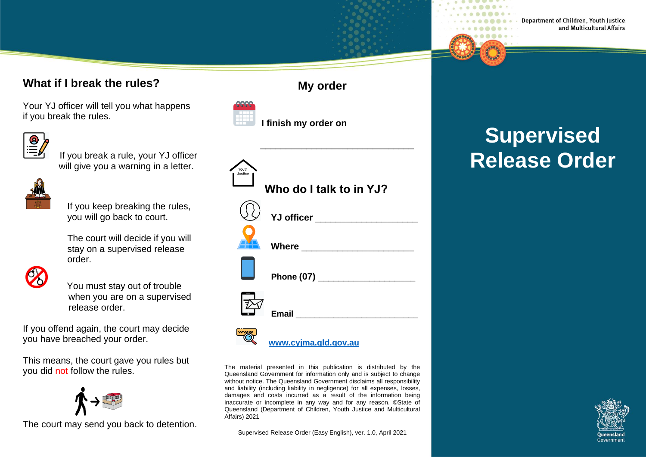#### **What if I break the rules?**

Your YJ officer will tell you what happens if you break the rules.



 If you break a rule, your YJ officer will give you a warning in a letter.



If you keep breaking the rules, you will go back to court.

The court will decide if you will stay on a supervised release order.



 You must stay out of trouble when you are on a supervised release order.

If you offend again, the court may decide you have breached your order.

This means, the court gave you rules but you did not follow the rules.



The court may send you back to detention.

| Youth<br>Justice<br>Who do I talk to in YJ? |
|---------------------------------------------|
|                                             |
| Where <u>________________</u>               |
| Phone (07) _____________________            |
|                                             |
| www.cyjma.qld.gov.au                        |

The material presented in this publication is distributed by the Queensland Government for information only and is subject to change without notice. The Queensland Government disclaims all responsibility and liability (including liability in negligence) for all expenses, losses, damages and costs incurred as a result of the information being inaccurate or incomplete in any way and for any reason. ©State of Queensland (Department of Children, Youth Justice and Multicultural Affairs) 2021

Supervised Release Order (Easy English), ver. 1.0, April 2021

## **My order**

 $\frac{1}{\sqrt{2}}$  ,  $\frac{1}{\sqrt{2}}$  ,  $\frac{1}{\sqrt{2}}$  ,  $\frac{1}{\sqrt{2}}$  ,  $\frac{1}{\sqrt{2}}$  ,  $\frac{1}{\sqrt{2}}$  ,  $\frac{1}{\sqrt{2}}$  ,  $\frac{1}{\sqrt{2}}$  ,  $\frac{1}{\sqrt{2}}$  ,  $\frac{1}{\sqrt{2}}$  ,  $\frac{1}{\sqrt{2}}$  ,  $\frac{1}{\sqrt{2}}$  ,  $\frac{1}{\sqrt{2}}$  ,  $\frac{1}{\sqrt{2}}$  ,  $\frac{1}{\sqrt{2}}$ 

 **I finish my order on**